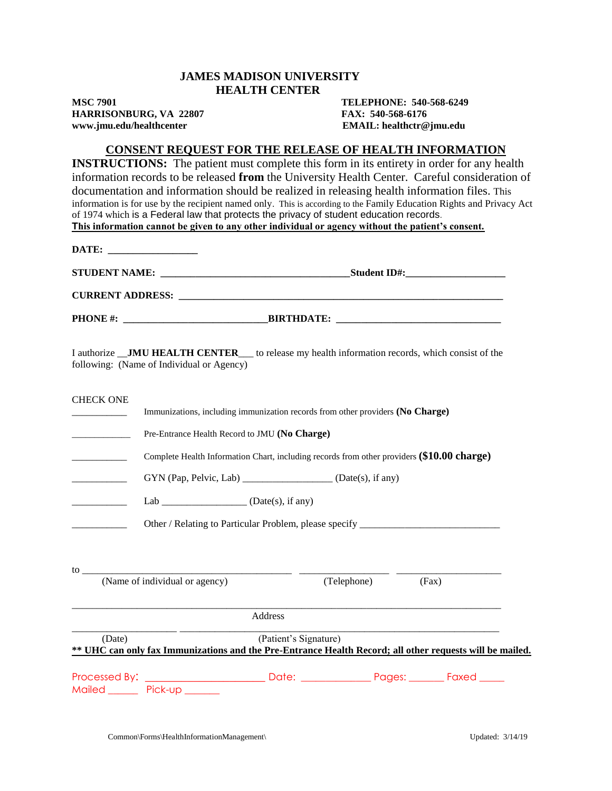## **JAMES MADISON UNIVERSITY HEALTH CENTER**

**HARRISONBURG, VA 22807 FAX: 540-568-6176 www.jmu.edu/healthcenter EMAIL: healthctr@jmu.edu**

**MSC 7901 TELEPHONE: 540-568-6249**

## **CONSENT REQUEST FOR THE RELEASE OF HEALTH INFORMATION**

**INSTRUCTIONS:** The patient must complete this form in its entirety in order for any health information records to be released **from** the University Health Center. Careful consideration of documentation and information should be realized in releasing health information files. This information is for use by the recipient named only. This is according to the Family Education Rights and Privacy Act of 1974 which is a Federal law that protects the privacy of student education records. **This information cannot be given to any other individual or agency without the patient's consent.**

|                                                                                                                                                                                                                                                                                                  | DATE:                                                      |                                                                                                                                   |       |  |
|--------------------------------------------------------------------------------------------------------------------------------------------------------------------------------------------------------------------------------------------------------------------------------------------------|------------------------------------------------------------|-----------------------------------------------------------------------------------------------------------------------------------|-------|--|
|                                                                                                                                                                                                                                                                                                  |                                                            |                                                                                                                                   |       |  |
|                                                                                                                                                                                                                                                                                                  |                                                            |                                                                                                                                   |       |  |
|                                                                                                                                                                                                                                                                                                  |                                                            |                                                                                                                                   |       |  |
|                                                                                                                                                                                                                                                                                                  | following: (Name of Individual or Agency)                  | I authorize _JMU HEALTH CENTER__ to release my health information records, which consist of the                                   |       |  |
| <b>CHECK ONE</b>                                                                                                                                                                                                                                                                                 |                                                            | Immunizations, including immunization records from other providers (No Charge)                                                    |       |  |
|                                                                                                                                                                                                                                                                                                  | Pre-Entrance Health Record to JMU (No Charge)              |                                                                                                                                   |       |  |
|                                                                                                                                                                                                                                                                                                  |                                                            | Complete Health Information Chart, including records from other providers (\$10.00 charge)                                        |       |  |
|                                                                                                                                                                                                                                                                                                  | GYN (Pap, Pelvic, Lab) __________________(Date(s), if any) |                                                                                                                                   |       |  |
|                                                                                                                                                                                                                                                                                                  | Lab _______________________ (Date(s), if any)              |                                                                                                                                   |       |  |
|                                                                                                                                                                                                                                                                                                  |                                                            | Other / Relating to Particular Problem, please specify _________________________                                                  |       |  |
|                                                                                                                                                                                                                                                                                                  |                                                            |                                                                                                                                   |       |  |
| $\frac{1}{2}$ to $\frac{1}{2}$ to $\frac{1}{2}$ to $\frac{1}{2}$ to $\frac{1}{2}$ to $\frac{1}{2}$ to $\frac{1}{2}$ to $\frac{1}{2}$ to $\frac{1}{2}$ to $\frac{1}{2}$ to $\frac{1}{2}$ to $\frac{1}{2}$ to $\frac{1}{2}$ to $\frac{1}{2}$ to $\frac{1}{2}$ to $\frac{1}{2}$ to $\frac{1}{2}$ to | (Name of individual or agency)                             | (Telephone)                                                                                                                       | (Fax) |  |
|                                                                                                                                                                                                                                                                                                  |                                                            | Address                                                                                                                           |       |  |
| (Date)                                                                                                                                                                                                                                                                                           |                                                            | (Patient's Signature)<br>** UHC can only fax Immunizations and the Pre-Entrance Health Record; all other requests will be mailed. |       |  |
|                                                                                                                                                                                                                                                                                                  | Mailed Pick-up _____                                       |                                                                                                                                   |       |  |